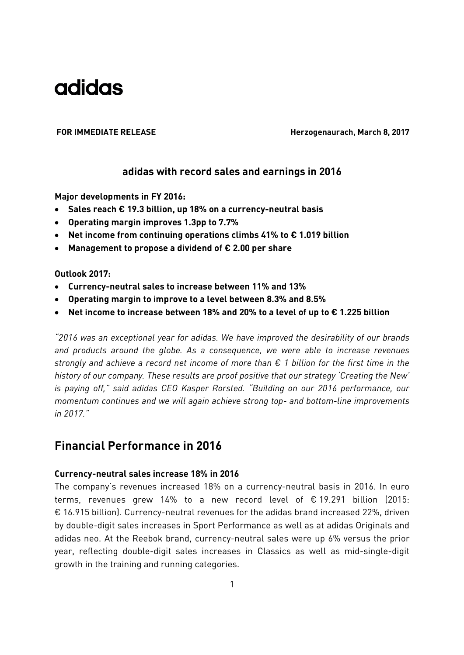FOR IMMEDIATE RELEASE **Herzogenaurach, March 8, 2017** 

### **adidas with record sales and earnings in 2016**

**Major developments in FY 2016:** 

- **Sales reach € 19.3 billion, up 18% on a currency-neutral basis**
- **Operating margin improves 1.3pp to 7.7%**
- **Net income from continuing operations climbs 41% to € 1.019 billion**
- **Management to propose a dividend of € 2.00 per share**

### **Outlook 2017:**

- **Currency-neutral sales to increase between 11% and 13%**
- **Operating margin to improve to a level between 8.3% and 8.5%**
- **Net income to increase between 18% and 20% to a level of up to € 1.225 billion**

*"2016 was an exceptional year for adidas. We have improved the desirability of our brands and products around the globe. As a consequence, we were able to increase revenues strongly and achieve a record net income of more than € 1 billion for the first time in the history of our company. These results are proof positive that our strategy 'Creating the New' is paying off," said adidas CEO Kasper Rorsted. "Building on our 2016 performance, our momentum continues and we will again achieve strong top- and bottom-line improvements in 2017."* 

### **Financial Performance in 2016**

### **Currency-neutral sales increase 18% in 2016**

The company's revenues increased 18% on a currency-neutral basis in 2016. In euro terms, revenues grew 14% to a new record level of  $\epsilon$  19.291 billion (2015: € 16.915 billion). Currency-neutral revenues for the adidas brand increased 22%, driven by double-digit sales increases in Sport Performance as well as at adidas Originals and adidas neo. At the Reebok brand, currency-neutral sales were up 6% versus the prior year, reflecting double-digit sales increases in Classics as well as mid-single-digit growth in the training and running categories.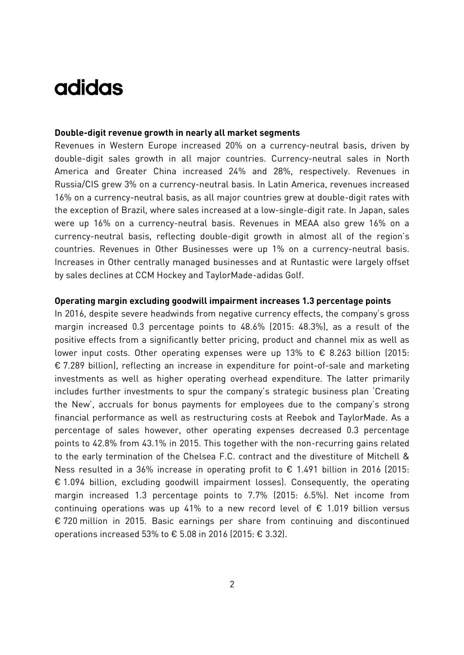### **Double-digit revenue growth in nearly all market segments**

Revenues in Western Europe increased 20% on a currency-neutral basis, driven by double-digit sales growth in all major countries. Currency-neutral sales in North America and Greater China increased 24% and 28%, respectively. Revenues in Russia/CIS grew 3% on a currency-neutral basis. In Latin America, revenues increased 16% on a currency-neutral basis, as all major countries grew at double-digit rates with the exception of Brazil, where sales increased at a low-single-digit rate. In Japan, sales were up 16% on a currency-neutral basis. Revenues in MEAA also grew 16% on a currency-neutral basis, reflecting double-digit growth in almost all of the region's countries. Revenues in Other Businesses were up 1% on a currency-neutral basis. Increases in Other centrally managed businesses and at Runtastic were largely offset by sales declines at CCM Hockey and TaylorMade-adidas Golf.

#### **Operating margin excluding goodwill impairment increases 1.3 percentage points**

In 2016, despite severe headwinds from negative currency effects, the company's gross margin increased 0.3 percentage points to 48.6% (2015: 48.3%), as a result of the positive effects from a significantly better pricing, product and channel mix as well as lower input costs. Other operating expenses were up 13% to  $\epsilon$  8.263 billion (2015: € 7.289 billion), reflecting an increase in expenditure for point-of-sale and marketing investments as well as higher operating overhead expenditure. The latter primarily includes further investments to spur the company's strategic business plan 'Creating the New', accruals for bonus payments for employees due to the company's strong financial performance as well as restructuring costs at Reebok and TaylorMade. As a percentage of sales however, other operating expenses decreased 0.3 percentage points to 42.8% from 43.1% in 2015. This together with the non-recurring gains related to the early termination of the Chelsea F.C. contract and the divestiture of Mitchell & Ness resulted in a 36% increase in operating profit to  $\epsilon$  1.491 billion in 2016 (2015: € 1.094 billion, excluding goodwill impairment losses). Consequently, the operating margin increased 1.3 percentage points to 7.7% (2015: 6.5%). Net income from continuing operations was up 41% to a new record level of € 1.019 billion versus € 720 million in 2015. Basic earnings per share from continuing and discontinued operations increased 53% to € 5.08 in 2016 (2015: € 3.32).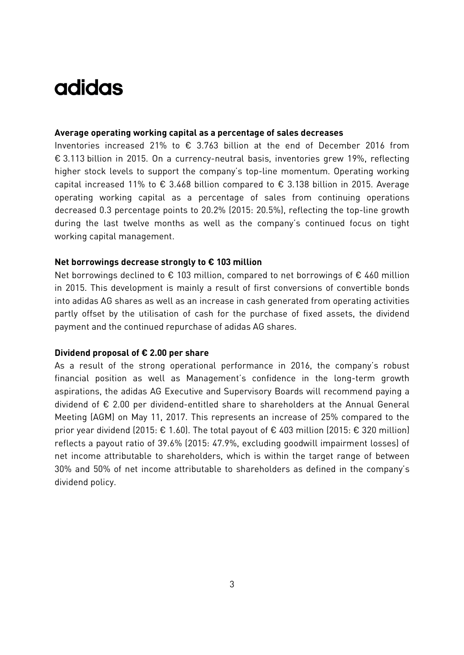### **Average operating working capital as a percentage of sales decreases**

Inventories increased 21% to  $\epsilon$  3.763 billion at the end of December 2016 from € 3.113 billion in 2015. On a currency-neutral basis, inventories grew 19%, reflecting higher stock levels to support the company's top-line momentum. Operating working capital increased 11% to  $\epsilon$  3.468 billion compared to  $\epsilon$  3.138 billion in 2015. Average operating working capital as a percentage of sales from continuing operations decreased 0.3 percentage points to 20.2% (2015: 20.5%), reflecting the top-line growth during the last twelve months as well as the company's continued focus on tight working capital management.

### **Net borrowings decrease strongly to € 103 million**

Net borrowings declined to  $\epsilon$  103 million, compared to net borrowings of  $\epsilon$  460 million in 2015. This development is mainly a result of first conversions of convertible bonds into adidas AG shares as well as an increase in cash generated from operating activities partly offset by the utilisation of cash for the purchase of fixed assets, the dividend payment and the continued repurchase of adidas AG shares.

### **Dividend proposal of € 2.00 per share**

As a result of the strong operational performance in 2016, the company's robust financial position as well as Management's confidence in the long-term growth aspirations, the adidas AG Executive and Supervisory Boards will recommend paying a dividend of € 2.00 per dividend-entitled share to shareholders at the Annual General Meeting (AGM) on May 11, 2017. This represents an increase of 25% compared to the prior year dividend (2015:  $\epsilon$  1.60). The total payout of  $\epsilon$  403 million (2015:  $\epsilon$  320 million) reflects a payout ratio of 39.6% (2015: 47.9%, excluding goodwill impairment losses) of net income attributable to shareholders, which is within the target range of between 30% and 50% of net income attributable to shareholders as defined in the company's dividend policy.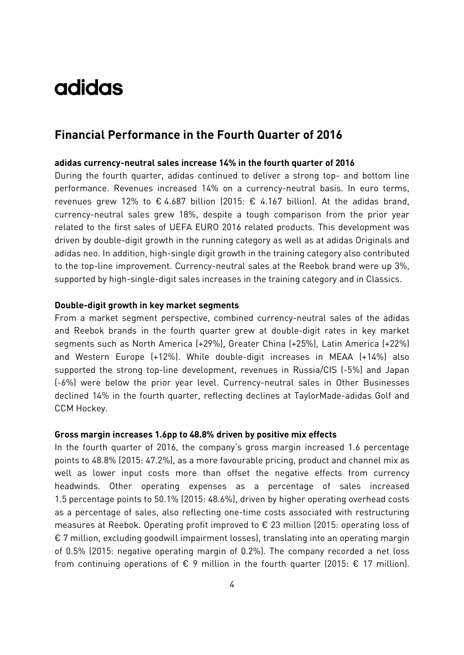### **Financial Performance in the Fourth Quarter of 2016**

### **adidas currency-neutral sales increase 14% in the fourth quarter of 2016**

During the fourth quarter, adidas continued to deliver a strong top- and bottom line performance. Revenues increased 14% on a currency-neutral basis. In euro terms, revenues grew 12% to  $\epsilon$  4.687 billion (2015:  $\epsilon$  4.167 billion). At the adidas brand, currency-neutral sales grew 18%, despite a tough comparison from the prior year related to the first sales of UEFA EURO 2016 related products. This development was driven by double-digit growth in the running category as well as at adidas Originals and adidas neo. In addition, high-single digit growth in the training category also contributed to the top-line improvement. Currency-neutral sales at the Reebok brand were up 3%, supported by high-single-digit sales increases in the training category and in Classics.

### **Double-digit growth in key market segments**

From a market segment perspective, combined currency-neutral sales of the adidas and Reebok brands in the fourth quarter grew at double-digit rates in key market segments such as North America (+29%), Greater China (+25%), Latin America (+22%) and Western Europe (+12%). While double-digit increases in MEAA (+14%) also supported the strong top-line development, revenues in Russia/CIS (-5%) and Japan (-6%) were below the prior year level. Currency-neutral sales in Other Businesses declined 14% in the fourth quarter, reflecting declines at TaylorMade-adidas Golf and CCM Hockey.

#### **Gross margin increases 1.6pp to 48.8% driven by positive mix effects**

In the fourth quarter of 2016, the company's gross margin increased 1.6 percentage points to 48.8% (2015: 47.2%), as a more favourable pricing, product and channel mix as well as lower input costs more than offset the negative effects from currency headwinds. Other operating expenses as a percentage of sales increased 1.5 percentage points to 50.1% (2015: 48.6%), driven by higher operating overhead costs as a percentage of sales, also reflecting one-time costs associated with restructuring measures at Reebok. Operating profit improved to € 23 million (2015: operating loss of € 7 million, excluding goodwill impairment losses), translating into an operating margin of 0.5% (2015: negative operating margin of 0.2%). The company recorded a net loss from continuing operations of  $\epsilon$  9 million in the fourth quarter (2015:  $\epsilon$  17 million).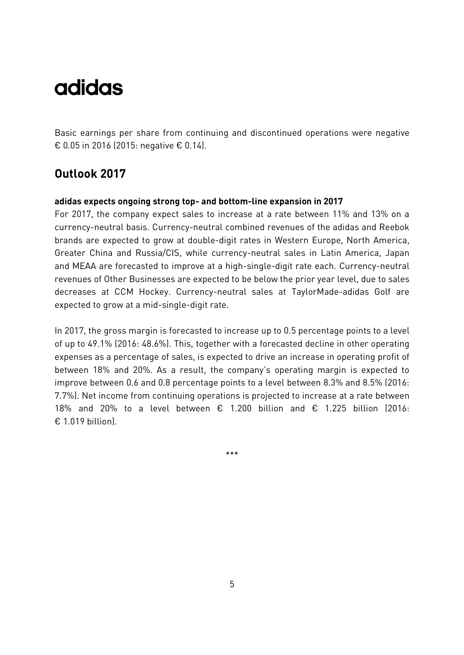Basic earnings per share from continuing and discontinued operations were negative € 0.05 in 2016 (2015: negative € 0.14).

### **Outlook 2017**

### **adidas expects ongoing strong top- and bottom-line expansion in 2017**

For 2017, the company expect sales to increase at a rate between 11% and 13% on a currency-neutral basis. Currency-neutral combined revenues of the adidas and Reebok brands are expected to grow at double-digit rates in Western Europe, North America, Greater China and Russia/CIS, while currency-neutral sales in Latin America, Japan and MEAA are forecasted to improve at a high-single-digit rate each. Currency-neutral revenues of Other Businesses are expected to be below the prior year level, due to sales decreases at CCM Hockey. Currency-neutral sales at TaylorMade-adidas Golf are expected to grow at a mid-single-digit rate.

In 2017, the gross margin is forecasted to increase up to 0.5 percentage points to a level of up to 49.1% (2016: 48.6%). This, together with a forecasted decline in other operating expenses as a percentage of sales, is expected to drive an increase in operating profit of between 18% and 20%. As a result, the company's operating margin is expected to improve between 0.6 and 0.8 percentage points to a level between 8.3% and 8.5% (2016: 7.7%). Net income from continuing operations is projected to increase at a rate between 18% and 20% to a level between  $\epsilon$  1.200 billion and  $\epsilon$  1.225 billion (2016: € 1.019 billion $l$ .

\*\*\*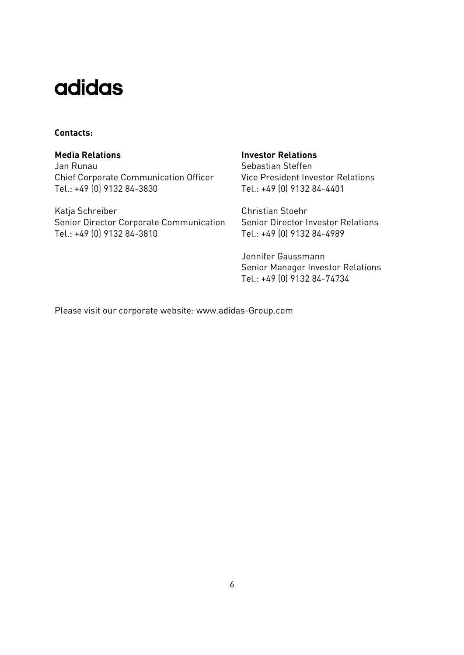### **Contacts:**

Jan Runau Chief Corporate Communication Officer Tel.: +49 (0) 9132 84-3830

Katja Schreiber Christian Stoehr Senior Director Corporate Communication Tel.: +49 (0) 9132 84-3810

### **Media Relations 19 August 2018 Investor Relations**

Sebastian Steffen Vice President Investor Relations Tel.: +49 (0) 9132 84-4401

Senior Director Investor Relations Tel.: +49 (0) 9132 84-4989

Jennifer Gaussmann Senior Manager Investor Relations Tel.: +49 (0) 9132 84-74734

Please visit our corporate website: www.adidas-Group.com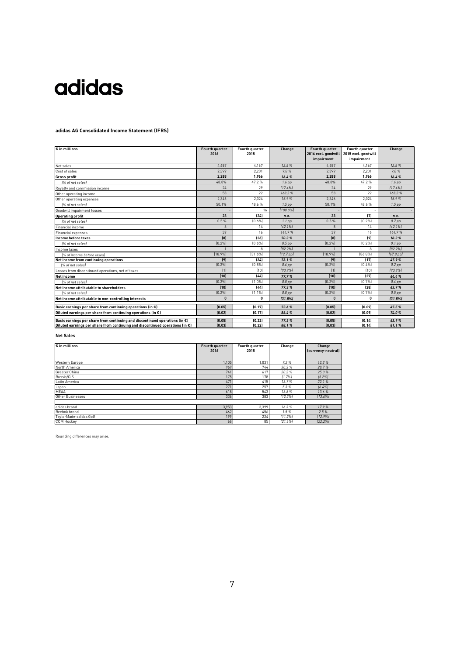#### **adidas AG Consolidated Income Statement (IFRS)**

| $\overline{\epsilon}$ in millions                                                       | Fourth quarter<br>2016 | Fourth quarter<br>2015 | Change                | Fourth quarter<br>2016 excl. goodwill | Fourth quarter<br>2015 excl. goodwill | Change                |
|-----------------------------------------------------------------------------------------|------------------------|------------------------|-----------------------|---------------------------------------|---------------------------------------|-----------------------|
|                                                                                         |                        |                        |                       | impairment                            | impairment                            |                       |
| Net sales                                                                               | 4.687                  | 4.167                  | 12.5%                 | 4.687                                 | 4.167                                 | 12.5%                 |
| Cost of sales                                                                           | 2.399                  | 2,201                  | 9.0%                  | 2.399                                 | 2.201                                 | 9.0%                  |
| <b>Gross profit</b>                                                                     | 2.288                  | 1.966                  | 16.4%                 | 2.288                                 | 1.966                                 | 16.4%                 |
| 1% of net sales)                                                                        | 48.8%                  | 47.2%                  | 1.6 <sub>pp</sub>     | 48.8%                                 | 47.2%                                 | $1.6$ pp              |
| Royalty and commission income                                                           | 24                     | 29                     | [17.4%]               | 24                                    | 29                                    | [17.4%]               |
| Other operating income                                                                  | 58                     | 22                     | 168.2%                | 58                                    | 22                                    | 168.2%                |
| Other operating expenses                                                                | 2.346                  | 2,024                  | 15.9%                 | 2.346                                 | 2.024                                 | 15.9%                 |
| 1% of net sales)                                                                        | 50.1%                  | 48.6%                  | 1.5 <sub>pp</sub>     | 50 1%                                 | 48.6%                                 | $1.5$ pp              |
| Goodwill impairment losses                                                              |                        | 16                     | 1100.0%               |                                       |                                       |                       |
| <b>Operating profit</b>                                                                 | 23                     | [24]                   | n.a.                  | 23                                    | (7)                                   | n.a.                  |
| [% of net sales]                                                                        | 0.5%                   | [0.6%]                 | 1.1 <sub>pp</sub>     | 0.5%                                  | [0.2%]                                | 0.7 <sub>pp</sub>     |
| Financial income                                                                        | 8                      | 14                     | [42.1%]               | 8                                     | 14                                    | [42.1%]               |
| Financial expenses                                                                      | 39                     | 16                     | 144.9%                | 39                                    | 16                                    | 144.9%                |
| Income before taxes                                                                     | [8]                    | (26)                   | 70.2%                 | [8]                                   | (9)                                   | 18.2%                 |
| 1% of net sales)                                                                        | [0.2%]                 | [0.6%]                 | $0.5$ pp              | [0.2%]                                | [0.2%]                                | $0.1$ pp              |
| Income taxes                                                                            |                        | 8                      | [82.2%]               |                                       | 8                                     | [82.2%]               |
| [% of income before taxes]                                                              | [18.9%]                | [31.6%]                | (12.7 <sub>pp</sub> ) | [18.9%]                               | [86.8%]                               | (67.8 <sub>pp</sub> ) |
| Net income from continuing operations                                                   | (9)                    | [34]                   | 73.1%                 | [9]                                   | (17)                                  | 47.9%                 |
| I% of net sales)                                                                        | [0.2%]                 | (0.8%                  | $0.6$ pp              | [0.2%]                                | [0.4%]                                | $0.2$ pp              |
| Losses from discontinued operations, net of taxes                                       | [1]                    | [10]                   | [93.9%]               | [1]                                   | [10]                                  | [93.9%]               |
| <b>Net income</b>                                                                       | (10)                   | [44]                   | 77.7%                 | (10)                                  | (27)                                  | 64.4%                 |
| 1% of net sales)                                                                        | [0.2%]                 | [1.0%]                 | $0.8$ pp              | [0.2%]                                | [0.7%]                                | $0.4$ pp              |
| Net income attributable to shareholders                                                 | (10)                   | [44]                   | 77.3%                 | (10)                                  | (28)                                  | 63.9%                 |
| 1% of net sales)                                                                        | [0.2%]                 | [1.1%]                 | $0.8$ pp              | [0.2%]                                | [0.7%]                                | $0.5$ pp              |
| Net income attributable to non-controlling interests                                    | $\mathbf{0}$           | 0                      | [31.5%]               | $\mathbf{0}$                          | n                                     | [31.5%]               |
| Basic earnings per share from continuing operations (in $\epsilon$ )                    | (0.05)                 | (0.17)                 | 72.6%                 | (0.05)                                | (0.09)                                | 47.5%                 |
| Diluted earnings per share from continuing operations (in $\epsilon$ )                  | (0.02)                 | (0.17)                 | 86.4%                 | (0.02)                                | (0.09)                                | 74.0%                 |
|                                                                                         |                        |                        |                       |                                       |                                       |                       |
| Basic earnings per share from continuing and discontinued operations (in $\epsilon$ )   | (0.05)                 | (0.22)                 | 77.3%                 | (0.05)                                | (0.14)                                | 63.9%                 |
| Diluted earnings per share from continuing and discontinued operations (in $\epsilon$ ) | (0.03)                 | (0.22)                 | 88.1%                 | (0.03)                                | (0.14)                                | 81.1%                 |

#### **Net Sales**

| $\varepsilon$ in millions | Fourth quarter<br>2016 | Fourth quarter<br>2015 | Change  | Change<br>(currency-neutral) |
|---------------------------|------------------------|------------------------|---------|------------------------------|
| Western Europe            | 1,105                  | 1,031                  | 7.2%    | 12.2%                        |
| North America             | 969                    | 744                    | 30.3%   | 28.7%                        |
| Greater China             | 741                    | 617                    | 20.2%   | 25.0%                        |
| Russia/CIS                | 175                    | 178                    | [1.7%]  | [5.2%]                       |
| Latin America             | 471                    | 415                    | 13.7%   | 22.1%                        |
| Japan                     | 271                    | 257                    | 5.3%    | [6.4%]                       |
| <b>MEAA</b>               | 618                    | 543                    | 13.8%   | 13.6 %                       |
| Other Businesses          | 336                    | 383                    | [12.3%] | 113.6%                       |
|                           |                        |                        |         |                              |
| adidas brand              | 3,953                  | 3.399                  | 16.3%   | 17.9%                        |
| Reebok brand              | 462                    | 456                    | 1.5%    | 2.5%                         |
| TaylorMade-adidas Golf    | 199                    | 224                    | [11.2%] | [12.9%]                      |
| <b>CCM Hockey</b>         | 66                     | 85                     | [21.6%] | [22.2%]                      |

Rounding differences may arise.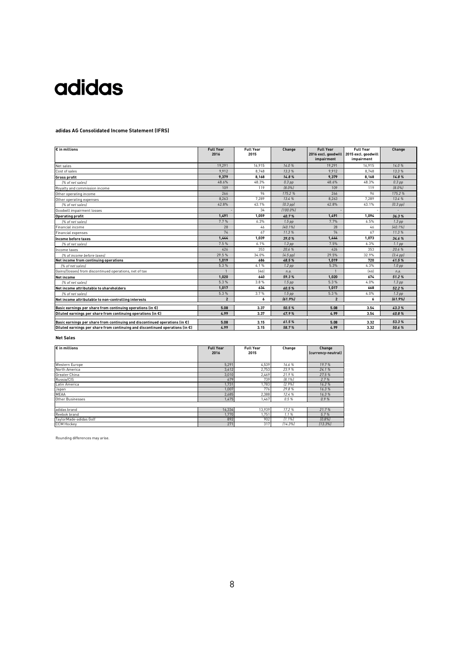#### **adidas AG Consolidated Income Statement (IFRS)**

| $\epsilon$ in millions                                                                  | <b>Full Year</b><br>2016 | <b>Full Year</b><br>2015 | Change            | <b>Full Year</b> | <b>Full Year</b><br>2016 excl. goodwill 2015 excl. goodwill | Change            |
|-----------------------------------------------------------------------------------------|--------------------------|--------------------------|-------------------|------------------|-------------------------------------------------------------|-------------------|
|                                                                                         |                          |                          |                   | impairment       | impairment                                                  |                   |
| Net sales                                                                               | 19.291                   | 16.915                   | 14.0%             | 19.291           | 16.915                                                      | 14.0%             |
| Cost of sales                                                                           | 9.912                    | 8.748                    | 13.3%             | 9.912            | 8.748                                                       | 13.3%             |
| <b>Gross profit</b>                                                                     | 9,379                    | 8,168                    | 14.8%             | 9,379            | 8,168                                                       | 14.8%             |
| 1% of net sales                                                                         | 48.6%                    | 48.3%                    | $0.3$ pp          | 48.6%            | 48.3%                                                       | 0.3 <sub>DD</sub> |
| Royalty and commission income                                                           | 109                      | 119                      | $[8.0\%]$         | 109              | 119                                                         | $[8.0\%]$         |
| Other operating income                                                                  | 266                      | 96                       | 175.2%            | 266              | 96                                                          | 175.2%            |
| Other operating expenses                                                                | 8.263                    | 7.289                    | 13.4%             | 8.263            | 7.289                                                       | 13.4%             |
| 1% of net sales)                                                                        | 42.8%                    | 43.1%                    | $[0.3$ pp $]$     | 42.8%            | 43.1%                                                       | $(0.3$ pp $)$     |
| Goodwill impairment losses                                                              |                          | 34                       | $1100.0\%$        |                  |                                                             |                   |
| <b>Operating profit</b>                                                                 | 1.491                    | 1.059                    | 40.7%             | 1.491            | 1.094                                                       | 36.3%             |
| 1% of net sales)                                                                        | 7.7%                     | 6.3%                     | 1.5 <sub>pp</sub> | 7 7%             | 6.5%                                                        | 1.3 <sub>pp</sub> |
| Financial income                                                                        | 28                       | 46                       | [40.1%]           | 28               | 46                                                          | $[40.1\%]$        |
| <b>Financial expenses</b>                                                               | 74                       | 67                       | 11.3%             | 74               | 67                                                          | 11.3%             |
| Income before taxes                                                                     | 1,444                    | 1,039                    | 39.0%             | 1,444            | 1,073                                                       | 34.6%             |
| [% of net sales]                                                                        | 7.5%                     | 6.1%                     | 1.3 <sub>pp</sub> | 7.5%             | 6.3%                                                        | $1.1$ pp          |
| Income taxes                                                                            | 426                      | 353                      | 20.6%             | 426              | 353                                                         | 20.6%             |
| [% of income before taxes]                                                              | 29.5%                    | 34.0%                    | $(4.5$ pp $)$     | 29.5%            | 32.9%                                                       | $[3.4$ pp $]$     |
| Net income from continuing operations                                                   | 1.019                    | 686                      | 48.5%             | 1.019            | 720                                                         | 41.5%             |
| 1% of net sales)                                                                        | 5.3%                     | 4.1%                     | $1.2$ pp          | 5.3%             | 4.3%                                                        | 1.0 <sub>pp</sub> |
| Gains/(losses) from discontinued operations, net of tax                                 |                          | [46]                     | n.a.              |                  | [46]                                                        | n.a.              |
| Net income                                                                              | 1.020                    | 640                      | 59.3%             | 1.020            | 674                                                         | 51.2%             |
| [% of net sales]                                                                        | 5.3%                     | 3.8%                     | 1.5 <sub>pp</sub> | 5.3%             | 4.0%                                                        | 1.3 <sub>pp</sub> |
| Net income attributable to shareholders                                                 | 1.017                    | 634                      | 60.5%             | 1.017            | 668                                                         | 52.2%             |
| [% of net sales]                                                                        | 5.3%                     | 3.7%                     | $1.5$ pp          | 5.3%             | 4.0%                                                        | 1.3 <sub>pp</sub> |
| Net income attributable to non-controlling interests                                    | $\overline{2}$           | 6                        | [61.9%]           | $\overline{2}$   | 6                                                           | [61.9%]           |
| Basic earnings per share from continuing operations (in $\epsilon$ )                    | 5.08                     | 3.37                     | 50.5%             | 5.08             | 3.54                                                        | 43.3%             |
| Diluted earnings per share from continuing operations (in $\epsilon$ )                  | 4.99                     | 3.37                     | 47.9%             | 4.99             | 3.54                                                        | 40.8%             |
| Basic earnings per share from continuing and discontinued operations (in $\epsilon$ )   | 5.08                     | 3.15                     | 61.5%             | 5.08             | 3.32                                                        | 53.3%             |
| Diluted earnings per share from continuing and discontinued operations (in $\epsilon$ ) | 4.99                     | 3.15                     | 58.7%             | 4.99             | 3.32                                                        | 50.6%             |

#### **Net Sales**

| $\bm{\varepsilon}$ in millions | <b>Full Year</b><br><b>Full Year</b><br>2016<br>2015 |        | Change    | Change<br>(currency-neutral) |
|--------------------------------|------------------------------------------------------|--------|-----------|------------------------------|
|                                |                                                      |        |           |                              |
| Western Europe                 | 5,291                                                | 4,539  | 16.6%     | 19.7%                        |
| North America                  | 3,412                                                | 2.753  | 23.9%     | 24.1%                        |
| Greater China                  | 3,010                                                | 2,469  | 21.9%     | 27.5%                        |
| Russia/CIS                     | 679                                                  | 739    | $[8.1\%]$ | 2.7%                         |
| Latin America                  | 1,731                                                | 1.783  | [2.9%]    | 16.2%                        |
| Japan                          | 1.007                                                | 776    | 29.8%     | 16.3%                        |
| <b>MEAA</b>                    | 2,685                                                | 2.388  | 12.4 %    | 16.3%                        |
| Other Businesses               | 1,475                                                | 1,467  | 0.5%      | 0.9%                         |
|                                |                                                      |        |           |                              |
| adidas brand                   | 16,334                                               | 13.939 | 17.2%     | 21.7%                        |
| Reebok brand                   | 1,770                                                | 1,751  | 1.1%      | 5.7%                         |
| TaylorMade-adidas Golf         | 892                                                  | 902    | 11.1%     | 10.8%                        |
| <b>CCM Hockey</b>              | 271                                                  | 317    | [14.3%]   | [13.3%]                      |

Rounding differences may arise.